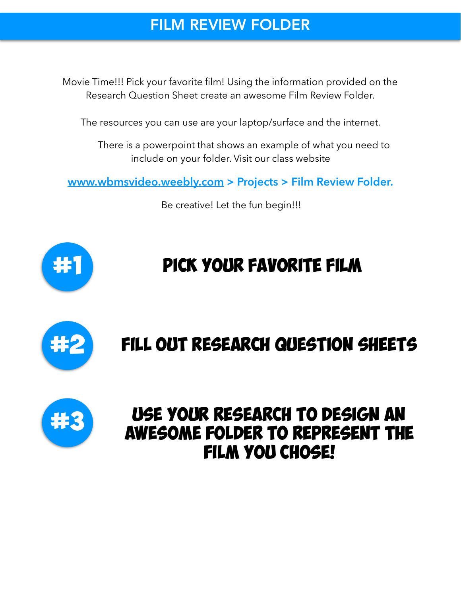#### FILM REVIEW FOLDER

Movie Time!!! Pick your favorite film! Using the information provided on the Research Question Sheet create an awesome Film Review Folder.

The resources you can use are your laptop/surface and the internet.

 There is a powerpoint that shows an example of what you need to include on your folder. Visit our class website

**[www.wbmsvideo.weebly.com](http://www.wbmsvideo.weebly.com) > Projects > Film Review Folder.**

Be creative! Let the fun begin!!!



# PICK YOUR FAVORITE FILM



# Fill out research question sheets



## use your research to design an awesome FOLDER to represent the FILM YOU CHOSE!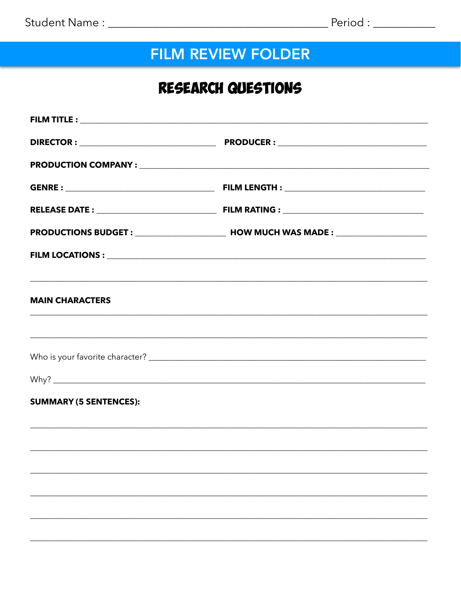### **FILM REVIEW FOLDER**

#### RESEARCH QUESTIONS

| <b>MAIN CHARACTERS</b>        |                                                                                   |
|-------------------------------|-----------------------------------------------------------------------------------|
|                               |                                                                                   |
|                               |                                                                                   |
| <b>SUMMARY (5 SENTENCES):</b> |                                                                                   |
|                               | ,我们也不能在这里的人,我们也不能在这里的人,我们也不能在这里的人,我们也不能在这里的人,我们也不能在这里的人,我们也不能在这里的人,我们也不能在这里的人,我们也 |
|                               |                                                                                   |
|                               |                                                                                   |
|                               |                                                                                   |
|                               |                                                                                   |
|                               |                                                                                   |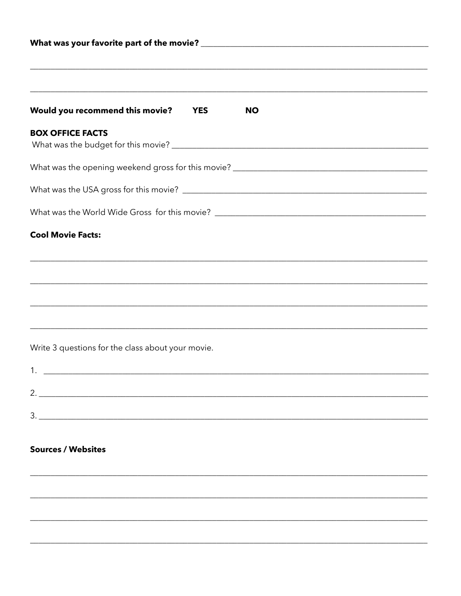| Would you recommend this movie? YES               |  | <b>NO</b> |  |  |  |  |
|---------------------------------------------------|--|-----------|--|--|--|--|
| <b>BOX OFFICE FACTS</b>                           |  |           |  |  |  |  |
|                                                   |  |           |  |  |  |  |
|                                                   |  |           |  |  |  |  |
|                                                   |  |           |  |  |  |  |
| <b>Cool Movie Facts:</b>                          |  |           |  |  |  |  |
|                                                   |  |           |  |  |  |  |
|                                                   |  |           |  |  |  |  |
|                                                   |  |           |  |  |  |  |
|                                                   |  |           |  |  |  |  |
| Write 3 questions for the class about your movie. |  |           |  |  |  |  |
| 1.                                                |  |           |  |  |  |  |
|                                                   |  |           |  |  |  |  |
|                                                   |  |           |  |  |  |  |
|                                                   |  |           |  |  |  |  |
| <b>Sources / Websites</b>                         |  |           |  |  |  |  |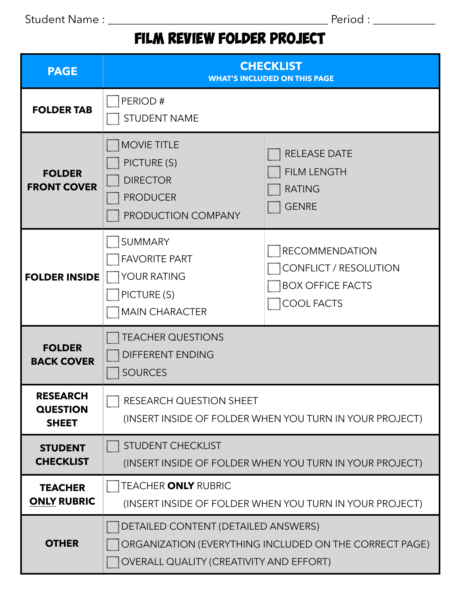Student Name : \_\_\_\_\_\_\_\_\_\_\_\_\_\_\_\_\_\_\_\_\_\_\_\_\_\_\_\_\_\_\_\_\_\_\_\_\_\_\_ Period : \_\_\_\_\_\_\_\_\_\_\_

## film review folder project

| <b>PAGE</b>                                        | <b>CHECKLIST</b><br><b>WHAT'S INCLUDED ON THIS PAGE</b>                                       |                                                                                                |  |  |  |
|----------------------------------------------------|-----------------------------------------------------------------------------------------------|------------------------------------------------------------------------------------------------|--|--|--|
| <b>FOLDER TAB</b>                                  | PERIOD#<br><b>STUDENT NAME</b>                                                                |                                                                                                |  |  |  |
| <b>FOLDER</b><br><b>FRONT COVER</b>                | <b>MOVIE TITLE</b><br>PICTURE (S)<br><b>DIRECTOR</b><br><b>PRODUCER</b><br>PRODUCTION COMPANY | <b>RELEASE DATE</b><br><b>FILM LENGTH</b><br><b>RATING</b><br><b>GENRE</b>                     |  |  |  |
| <b>FOLDER INSIDE</b>                               | SUMMARY<br><b>FAVORITE PART</b><br>YOUR RATING<br>PICTURE (S)<br><b>MAIN CHARACTER</b>        | <b>RECOMMENDATION</b><br>CONFLICT / RESOLUTION<br><b>BOX OFFICE FACTS</b><br><b>COOL FACTS</b> |  |  |  |
| <b>FOLDER</b><br><b>BACK COVER</b>                 | <b>TEACHER QUESTIONS</b><br>DIFFERENT ENDING<br><b>SOURCES</b>                                |                                                                                                |  |  |  |
| <b>RESEARCH</b><br><b>QUESTION</b><br><b>SHEET</b> | <b>RESEARCH QUESTION SHEET</b><br>(INSERT INSIDE OF FOLDER WHEN YOU TURN IN YOUR PROJECT)     |                                                                                                |  |  |  |
| <b>STUDENT</b><br><b>CHECKLIST</b>                 | STUDENT CHECKLIST<br>(INSERT INSIDE OF FOLDER WHEN YOU TURN IN YOUR PROJECT)                  |                                                                                                |  |  |  |
| <b>TEACHER</b><br><b>ONLY RUBRIC</b>               | <b>TEACHER ONLY RUBRIC</b><br>(INSERT INSIDE OF FOLDER WHEN YOU TURN IN YOUR PROJECT)         |                                                                                                |  |  |  |
| <b>OTHER</b>                                       | DETAILED CONTENT (DETAILED ANSWERS)<br><b>OVERALL QUALITY (CREATIVITY AND EFFORT)</b>         | ORGANIZATION (EVERYTHING INCLUDED ON THE CORRECT PAGE)                                         |  |  |  |